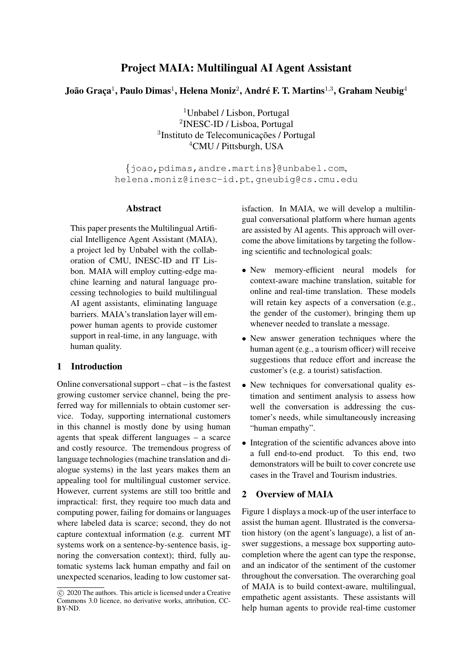# Project MAIA: Multilingual AI Agent Assistant

## João Graça $^1$ , Paulo Dimas $^1$ , Helena Moniz $^2$ , André F. T. Martins $^{1,3}$ , Graham Neubig $^4$

Unbabel / Lisbon, Portugal INESC-ID / Lisboa, Portugal <sup>3</sup>Instituto de Telecomunicações / Portugal CMU / Pittsburgh, USA

{joao,pdimas,andre.martins}@unbabel.com, helena.moniz@inesc-id.pt, gneubig@cs.cmu.edu

#### Abstract

This paper presents the Multilingual Artificial Intelligence Agent Assistant (MAIA), a project led by Unbabel with the collaboration of CMU, INESC-ID and IT Lisbon. MAIA will employ cutting-edge machine learning and natural language processing technologies to build multilingual AI agent assistants, eliminating language barriers. MAIA's translation layer will empower human agents to provide customer support in real-time, in any language, with human quality.

#### 1 Introduction

Online conversational support – chat – is the fastest growing customer service channel, being the preferred way for millennials to obtain customer service. Today, supporting international customers in this channel is mostly done by using human agents that speak different languages – a scarce and costly resource. The tremendous progress of language technologies (machine translation and dialogue systems) in the last years makes them an appealing tool for multilingual customer service. However, current systems are still too brittle and impractical: first, they require too much data and computing power, failing for domains or languages where labeled data is scarce; second, they do not capture contextual information (e.g. current MT systems work on a sentence-by-sentence basis, ignoring the conversation context); third, fully automatic systems lack human empathy and fail on unexpected scenarios, leading to low customer satisfaction. In MAIA, we will develop a multilingual conversational platform where human agents are assisted by AI agents. This approach will overcome the above limitations by targeting the following scientific and technological goals:

- New memory-efficient neural models for context-aware machine translation, suitable for online and real-time translation. These models will retain key aspects of a conversation (e.g., the gender of the customer), bringing them up whenever needed to translate a message.
- New answer generation techniques where the human agent (e.g., a tourism officer) will receive suggestions that reduce effort and increase the customer's (e.g. a tourist) satisfaction.
- New techniques for conversational quality estimation and sentiment analysis to assess how well the conversation is addressing the customer's needs, while simultaneously increasing "human empathy".
- Integration of the scientific advances above into a full end-to-end product. To this end, two demonstrators will be built to cover concrete use cases in the Travel and Tourism industries.

## 2 Overview of MAIA

Figure 1 displays a mock-up of the user interface to assist the human agent. Illustrated is the conversation history (on the agent's language), a list of answer suggestions, a message box supporting autocompletion where the agent can type the response, and an indicator of the sentiment of the customer throughout the conversation. The overarching goal of MAIA is to build context-aware, multilingual, empathetic agent assistants. These assistants will help human agents to provide real-time customer

c 2020 The authors. This article is licensed under a Creative Commons 3.0 licence, no derivative works, attribution, CC-BY-ND.